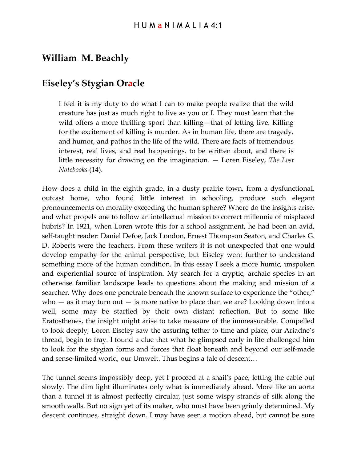## **William M. Beachly**

## **Eiseley's Stygian Oracle**

I feel it is my duty to do what I can to make people realize that the wild creature has just as much right to live as you or I. They must learn that the wild offers a more thrilling sport than killing—that of letting live. Killing for the excitement of killing is murder. As in human life, there are tragedy, and humor, and pathos in the life of the wild. There are facts of tremendous interest, real lives, and real happenings, to be written about, and there is little necessity for drawing on the imagination. — Loren Eiseley, *The Lost Notebooks* (14).

How does a child in the eighth grade, in a dusty prairie town, from a dysfunctional, outcast home, who found little interest in schooling, produce such elegant pronouncements on morality exceeding the human sphere? Where do the insights arise, and what propels one to follow an intellectual mission to correct millennia of misplaced hubris? In 1921, when Loren wrote this for a school assignment, he had been an avid, self-taught reader: Daniel Defoe, Jack London, Ernest Thompson Seaton, and Charles G. D. Roberts were the teachers. From these writers it is not unexpected that one would develop empathy for the animal perspective, but Eiseley went further to understand something more of the human condition. In this essay I seek a more humic, unspoken and experiential source of inspiration. My search for a cryptic, archaic species in an otherwise familiar landscape leads to questions about the making and mission of a searcher. Why does one penetrate beneath the known surface to experience the "other," who  $-$  as it may turn out  $-$  is more native to place than we are? Looking down into a well, some may be startled by their own distant reflection. But to some like Eratosthenes, the insight might arise to take measure of the immeasurable. Compelled to look deeply, Loren Eiseley saw the assuring tether to time and place, our Ariadne's thread, begin to fray. I found a clue that what he glimpsed early in life challenged him to look for the stygian forms and forces that float beneath and beyond our self-made and sense-limited world, our Umwelt. Thus begins a tale of descent…

The tunnel seems impossibly deep, yet I proceed at a snail's pace, letting the cable out slowly. The dim light illuminates only what is immediately ahead. More like an aorta than a tunnel it is almost perfectly circular, just some wispy strands of silk along the smooth walls. But no sign yet of its maker, who must have been grimly determined. My descent continues, straight down. I may have seen a motion ahead, but cannot be sure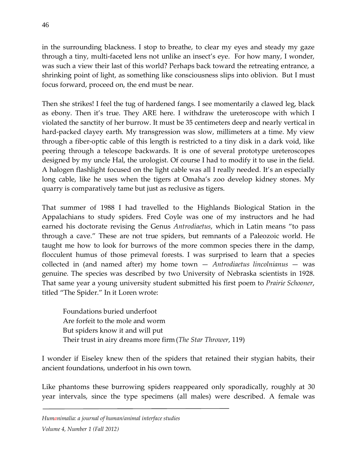in the surrounding blackness. I stop to breathe, to clear my eyes and steady my gaze through a tiny, multi-faceted lens not unlike an insect's eye. For how many, I wonder, was such a view their last of this world? Perhaps back toward the retreating entrance, a shrinking point of light, as something like consciousness slips into oblivion. But I must focus forward, proceed on, the end must be near.

Then she strikes! I feel the tug of hardened fangs. I see momentarily a clawed leg, black as ebony. Then it's true. They ARE here. I withdraw the ureteroscope with which I violated the sanctity of her burrow. It must be 35 centimeters deep and nearly vertical in hard-packed clayey earth. My transgression was slow, millimeters at a time. My view through a fiber-optic cable of this length is restricted to a tiny disk in a dark void, like peering through a telescope backwards. It is one of several prototype ureteroscopes designed by my uncle Hal, the urologist. Of course I had to modify it to use in the field. A halogen flashlight focused on the light cable was all I really needed. It's an especially long cable, like he uses when the tigers at Omaha's zoo develop kidney stones. My quarry is comparatively tame but just as reclusive as tigers.

That summer of 1988 I had travelled to the Highlands Biological Station in the Appalachians to study spiders. Fred Coyle was one of my instructors and he had earned his doctorate revising the Genus *Antrodiaetus*, which in Latin means "to pass through a cave." These are not true spiders, but remnants of a Paleozoic world. He taught me how to look for burrows of the more common species there in the damp, flocculent humus of those primeval forests. I was surprised to learn that a species collected in (and named after) my home town — *Antrodiaetus lincolnianus* — was genuine*.* The species was described by two University of Nebraska scientists in 1928. That same year a young university student submitted his first poem to *Prairie Schooner*, titled "The Spider." In it Loren wrote:

Foundations buried underfoot Are forfeit to the mole and worm But spiders know it and will put Their trust in airy dreams more firm(*The Star Thrower*, 119)

I wonder if Eiseley knew then of the spiders that retained their stygian habits, their ancient foundations, underfoot in his own town.

Like phantoms these burrowing spiders reappeared only sporadically, roughly at 30 year intervals, since the type specimens (all males) were described. A female was

*Humanimalia: a journal of human/animal interface studies*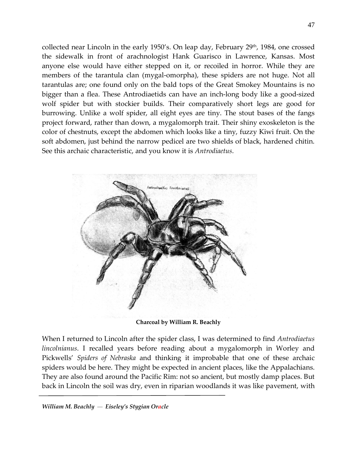collected near Lincoln in the early 1950's. On leap day, February  $29<sup>th</sup>$ , 1984, one crossed the sidewalk in front of arachnologist Hank Guarisco in Lawrence, Kansas. Most anyone else would have either stepped on it, or recoiled in horror. While they are members of the tarantula clan (mygal-omorpha), these spiders are not huge. Not all tarantulas are; one found only on the bald tops of the Great Smokey Mountains is no bigger than a flea. These Antrodiaetids can have an inch-long body like a good-sized wolf spider but with stockier builds. Their comparatively short legs are good for burrowing. Unlike a wolf spider, all eight eyes are tiny. The stout bases of the fangs project forward, rather than down, a mygalomorph trait. Their shiny exoskeleton is the color of chestnuts, except the abdomen which looks like a tiny, fuzzy Kiwi fruit. On the soft abdomen, just behind the narrow pedicel are two shields of black, hardened chitin. See this archaic characteristic, and you know it is *Antrodiaetus*.



**Charcoal by William R. Beachly**

When I returned to Lincoln after the spider class, I was determined to find *Antrodiaetus lincolnianus*. I recalled years before reading about a mygalomorph in Worley and Pickwells' *Spiders of Nebraska* and thinking it improbable that one of these archaic spiders would be here. They might be expected in ancient places, like the Appalachians. They are also found around the Pacific Rim: not so ancient, but mostly damp places. But back in Lincoln the soil was dry, even in riparian woodlands it was like pavement, with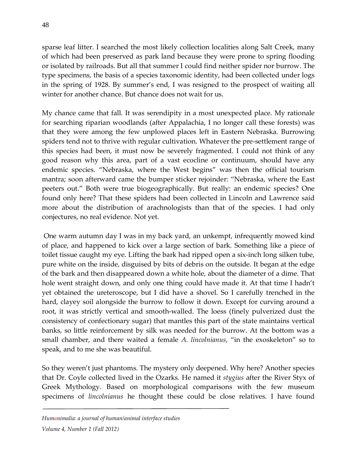sparse leaf litter. I searched the most likely collection localities along Salt Creek, many of which had been preserved as park land because they were prone to spring flooding or isolated by railroads. But all that summer I could find neither spider nor burrow. The type specimens, the basis of a species taxonomic identity, had been collected under logs in the spring of 1928. By summer's end, I was resigned to the prospect of waiting all winter for another chance. But chance does not wait for us.

My chance came that fall. It was serendipity in a most unexpected place. My rationale for searching riparian woodlands (after Appalachia, I no longer call these forests) was that they were among the few unplowed places left in Eastern Nebraska. Burrowing spiders tend not to thrive with regular cultivation. Whatever the pre-settlement range of this species had been, it must now be severely fragmented. I could not think of any good reason why this area, part of a vast ecocline or continuum, should have any endemic species. "Nebraska, where the West begins" was then the official tourism mantra; soon afterward came the bumper sticker rejoinder: "Nebraska, where the East peeters out." Both were true biogeographically. But really: an endemic species? One found only here? That these spiders had been collected in Lincoln and Lawrence said more about the distribution of arachnologists than that of the species. I had only conjectures, no real evidence. Not yet.

One warm autumn day I was in my back yard, an unkempt, infrequently mowed kind of place, and happened to kick over a large section of bark. Something like a piece of toilet tissue caught my eye. Lifting the bark had ripped open a six-inch long silken tube, pure white on the inside, disguised by bits of debris on the outside. It began at the edge of the bark and then disappeared down a white hole, about the diameter of a dime. That hole went straight down, and only one thing could have made it. At that time I hadn't yet obtained the ureteroscope, but I did have a shovel. So I carefully trenched in the hard, clayey soil alongside the burrow to follow it down. Except for curving around a root, it was strictly vertical and smooth-walled. The loess (finely pulverized dust the consistency of confectionary sugar) that mantles this part of the state maintains vertical banks, so little reinforcement by silk was needed for the burrow. At the bottom was a small chamber, and there waited a female *A. lincolnianus*, "in the exoskeleton" so to speak, and to me she was beautiful.

So they weren't just phantoms. The mystery only deepened. Why here? Another species that Dr. Coyle collected lived in the Ozarks. He named it *stygius* after the River Styx of Greek Mythology. Based on morphological comparisons with the few museum specimens of *lincolnianus* he thought these could be close relatives. I have found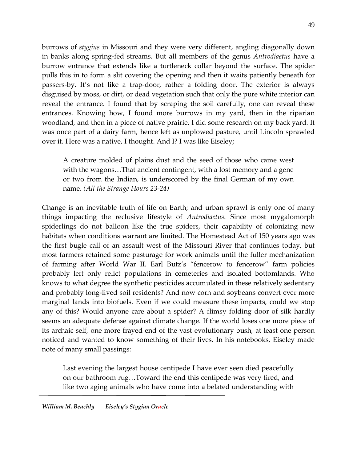burrows of *stygius* in Missouri and they were very different, angling diagonally down in banks along spring-fed streams. But all members of the genus *Antrodiaetus* have a burrow entrance that extends like a turtleneck collar beyond the surface. The spider pulls this in to form a slit covering the opening and then it waits patiently beneath for passers-by. It's not like a trap-door, rather a folding door. The exterior is always disguised by moss, or dirt, or dead vegetation such that only the pure white interior can reveal the entrance. I found that by scraping the soil carefully, one can reveal these entrances. Knowing how, I found more burrows in my yard, then in the riparian woodland, and then in a piece of native prairie. I did some research on my back yard. It was once part of a dairy farm, hence left as unplowed pasture, until Lincoln sprawled over it. Here was a native, I thought. And I? I was like Eiseley;

A creature molded of plains dust and the seed of those who came west with the wagons…That ancient contingent, with a lost memory and a gene or two from the Indian, is underscored by the final German of my own name. *(All the Strange Hours 23-24)*

Change is an inevitable truth of life on Earth; and urban sprawl is only one of many things impacting the reclusive lifestyle of *Antrodiaetus*. Since most mygalomorph spiderlings do not balloon like the true spiders, their capability of colonizing new habitats when conditions warrant are limited. The Homestead Act of 150 years ago was the first bugle call of an assault west of the Missouri River that continues today, but most farmers retained some pasturage for work animals until the fuller mechanization of farming after World War II. Earl Butz's "fencerow to fencerow" farm policies probably left only relict populations in cemeteries and isolated bottomlands. Who knows to what degree the synthetic pesticides accumulated in these relatively sedentary and probably long-lived soil residents? And now corn and soybeans convert ever more marginal lands into biofuels. Even if we could measure these impacts, could we stop any of this? Would anyone care about a spider? A flimsy folding door of silk hardly seems an adequate defense against climate change. If the world loses one more piece of its archaic self, one more frayed end of the vast evolutionary bush, at least one person noticed and wanted to know something of their lives. In his notebooks, Eiseley made note of many small passings:

Last evening the largest house centipede I have ever seen died peacefully on our bathroom rug…Toward the end this centipede was very tired, and like two aging animals who have come into a belated understanding with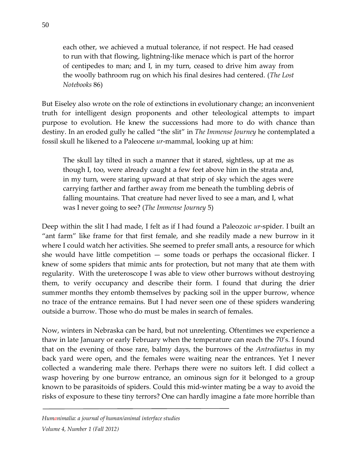each other, we achieved a mutual tolerance, if not respect. He had ceased to run with that flowing, lightning-like menace which is part of the horror of centipedes to man; and I, in my turn, ceased to drive him away from the woolly bathroom rug on which his final desires had centered. (*The Lost Notebooks* 86)

But Eiseley also wrote on the role of extinctions in evolutionary change; an inconvenient truth for intelligent design proponents and other teleological attempts to impart purpose to evolution. He knew the successions had more to do with chance than destiny. In an eroded gully he called "the slit" in *The Immense Journey* he contemplated a fossil skull he likened to a Paleocene *ur*-mammal, looking up at him:

The skull lay tilted in such a manner that it stared, sightless, up at me as though I, too, were already caught a few feet above him in the strata and, in my turn, were staring upward at that strip of sky which the ages were carrying farther and farther away from me beneath the tumbling debris of falling mountains. That creature had never lived to see a man, and I, what was I never going to see? (*The Immense Journey* 5)

Deep within the slit I had made, I felt as if I had found a Paleozoic *ur*-spider. I built an "ant farm" like frame for that first female, and she readily made a new burrow in it where I could watch her activities. She seemed to prefer small ants, a resource for which she would have little competition — some toads or perhaps the occasional flicker. I knew of some spiders that mimic ants for protection, but not many that ate them with regularity. With the ureteroscope I was able to view other burrows without destroying them, to verify occupancy and describe their form. I found that during the drier summer months they entomb themselves by packing soil in the upper burrow, whence no trace of the entrance remains. But I had never seen one of these spiders wandering outside a burrow. Those who do must be males in search of females.

Now, winters in Nebraska can be hard, but not unrelenting. Oftentimes we experience a thaw in late January or early February when the temperature can reach the 70's. I found that on the evening of those rare, balmy days, the burrows of the *Antrodiaetus* in my back yard were open, and the females were waiting near the entrances. Yet I never collected a wandering male there. Perhaps there were no suitors left. I did collect a wasp hovering by one burrow entrance, an ominous sign for it belonged to a group known to be parasitoids of spiders. Could this mid-winter mating be a way to avoid the risks of exposure to these tiny terrors? One can hardly imagine a fate more horrible than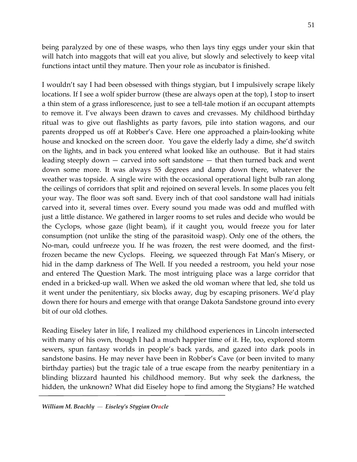being paralyzed by one of these wasps, who then lays tiny eggs under your skin that will hatch into maggots that will eat you alive, but slowly and selectively to keep vital functions intact until they mature. Then your role as incubator is finished.

I wouldn't say I had been obsessed with things stygian, but I impulsively scrape likely locations. If I see a wolf spider burrow (these are always open at the top), I stop to insert a thin stem of a grass inflorescence, just to see a tell-tale motion if an occupant attempts to remove it. I've always been drawn to caves and crevasses. My childhood birthday ritual was to give out flashlights as party favors, pile into station wagons, and our parents dropped us off at Robber's Cave. Here one approached a plain-looking white house and knocked on the screen door. You gave the elderly lady a dime, she'd switch on the lights, and in back you entered what looked like an outhouse. But it had stairs leading steeply down — carved into soft sandstone — that then turned back and went down some more. It was always 55 degrees and damp down there, whatever the weather was topside. A single wire with the occasional operational light bulb ran along the ceilings of corridors that split and rejoined on several levels. In some places you felt your way. The floor was soft sand. Every inch of that cool sandstone wall had initials carved into it, several times over. Every sound you made was odd and muffled with just a little distance. We gathered in larger rooms to set rules and decide who would be the Cyclops, whose gaze (light beam), if it caught you, would freeze you for later consumption (not unlike the sting of the parasitoid wasp). Only one of the others, the No-man, could unfreeze you. If he was frozen, the rest were doomed, and the firstfrozen became the new Cyclops. Fleeing, we squeezed through Fat Man's Misery, or hid in the damp darkness of The Well. If you needed a restroom, you held your nose and entered The Question Mark. The most intriguing place was a large corridor that ended in a bricked-up wall. When we asked the old woman where that led, she told us it went under the penitentiary, six blocks away, dug by escaping prisoners. We'd play down there for hours and emerge with that orange Dakota Sandstone ground into every bit of our old clothes.

Reading Eiseley later in life, I realized my childhood experiences in Lincoln intersected with many of his own, though I had a much happier time of it. He, too, explored storm sewers, spun fantasy worlds in people's back yards, and gazed into dark pools in sandstone basins. He may never have been in Robber's Cave (or been invited to many birthday parties) but the tragic tale of a true escape from the nearby penitentiary in a blinding blizzard haunted his childhood memory. But why seek the darkness, the hidden, the unknown? What did Eiseley hope to find among the Stygians? He watched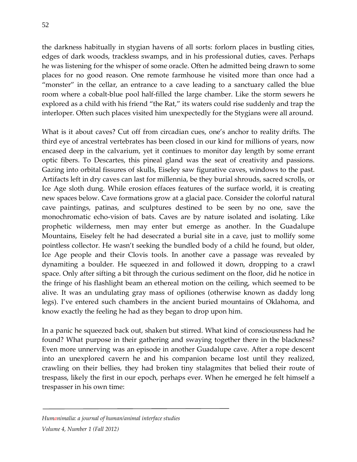the darkness habitually in stygian havens of all sorts: forlorn places in bustling cities, edges of dark woods, trackless swamps, and in his professional duties, caves. Perhaps he was listening for the whisper of some oracle. Often he admitted being drawn to some places for no good reason. One remote farmhouse he visited more than once had a "monster" in the cellar, an entrance to a cave leading to a sanctuary called the blue room where a cobalt-blue pool half-filled the large chamber. Like the storm sewers he explored as a child with his friend "the Rat," its waters could rise suddenly and trap the interloper. Often such places visited him unexpectedly for the Stygians were all around.

What is it about caves? Cut off from circadian cues, one's anchor to reality drifts. The third eye of ancestral vertebrates has been closed in our kind for millions of years, now encased deep in the calvarium, yet it continues to monitor day length by some errant optic fibers. To Descartes, this pineal gland was the seat of creativity and passions. Gazing into orbital fissures of skulls, Eiseley saw figurative caves, windows to the past. Artifacts left in dry caves can last for millennia, be they burial shrouds, sacred scrolls, or Ice Age sloth dung. While erosion effaces features of the surface world, it is creating new spaces below. Cave formations grow at a glacial pace. Consider the colorful natural cave paintings, patinas, and sculptures destined to be seen by no one, save the monochromatic echo-vision of bats. Caves are by nature isolated and isolating. Like prophetic wilderness, men may enter but emerge as another. In the Guadalupe Mountains, Eiseley felt he had desecrated a burial site in a cave, just to mollify some pointless collector. He wasn't seeking the bundled body of a child he found, but older, Ice Age people and their Clovis tools. In another cave a passage was revealed by dynamiting a boulder. He squeezed in and followed it down, dropping to a crawl space. Only after sifting a bit through the curious sediment on the floor, did he notice in the fringe of his flashlight beam an ethereal motion on the ceiling, which seemed to be alive. It was an undulating gray mass of opiliones (otherwise known as daddy long legs). I've entered such chambers in the ancient buried mountains of Oklahoma, and know exactly the feeling he had as they began to drop upon him.

In a panic he squeezed back out, shaken but stirred. What kind of consciousness had he found? What purpose in their gathering and swaying together there in the blackness? Even more unnerving was an episode in another Guadalupe cave. After a rope descent into an unexplored cavern he and his companion became lost until they realized, crawling on their bellies, they had broken tiny stalagmites that belied their route of trespass, likely the first in our epoch, perhaps ever. When he emerged he felt himself a trespasser in his own time: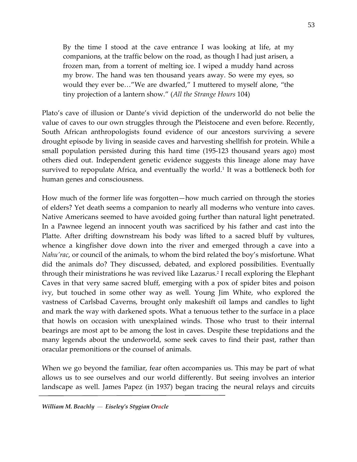By the time I stood at the cave entrance I was looking at life, at my companions, at the traffic below on the road, as though I had just arisen, a frozen man, from a torrent of melting ice. I wiped a muddy hand across my brow. The hand was ten thousand years away. So were my eyes, so would they ever be…"We are dwarfed," I muttered to myself alone, "the tiny projection of a lantern show." (*All the Strange Hours* 104)

Plato's cave of illusion or Dante's vivid depiction of the underworld do not belie the value of caves to our own struggles through the Pleistocene and even before. Recently, South African anthropologists found evidence of our ancestors surviving a severe drought episode by living in seaside caves and harvesting shellfish for protein. While a small population persisted during this hard time (195-123 thousand years ago) most others died out. Independent genetic evidence suggests this lineage alone may have survived to repopulate Africa, and eventually the world.<sup>1</sup> It was a bottleneck both for human genes and consciousness.

How much of the former life was forgotten—how much carried on through the stories of elders? Yet death seems a companion to nearly all moderns who venture into caves. Native Americans seemed to have avoided going further than natural light penetrated. In a Pawnee legend an innocent youth was sacrificed by his father and cast into the Platte. After drifting downstream his body was lifted to a sacred bluff by vultures, whence a kingfisher dove down into the river and emerged through a cave into a *Nahu'rac*, or council of the animals, to whom the bird related the boy's misfortune. What did the animals do? They discussed, debated, and explored possibilities. Eventually through their ministrations he was revived like Lazarus.2 I recall exploring the Elephant Caves in that very same sacred bluff, emerging with a pox of spider bites and poison ivy, but touched in some other way as well. Young Jim White, who explored the vastness of Carlsbad Caverns, brought only makeshift oil lamps and candles to light and mark the way with darkened spots. What a tenuous tether to the surface in a place that howls on occasion with unexplained winds. Those who trust to their internal bearings are most apt to be among the lost in caves. Despite these trepidations and the many legends about the underworld, some seek caves to find their past, rather than oracular premonitions or the counsel of animals.

When we go beyond the familiar, fear often accompanies us. This may be part of what allows us to see ourselves and our world differently. But seeing involves an interior landscape as well. James Papez (in 1937) began tracing the neural relays and circuits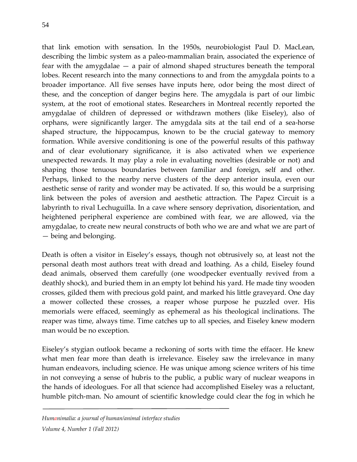that link emotion with sensation. In the 1950s, neurobiologist Paul D. MacLean, describing the limbic system as a paleo-mammalian brain, associated the experience of fear with the amygdalae — a pair of almond shaped structures beneath the temporal lobes. Recent research into the many connections to and from the amygdala points to a broader importance. All five senses have inputs here, odor being the most direct of these, and the conception of danger begins here. The amygdala is part of our limbic system, at the root of emotional states. Researchers in Montreal recently reported the amygdalae of children of depressed or withdrawn mothers (like Eiseley), also of orphans, were significantly larger. The amygdala sits at the tail end of a sea-horse shaped structure, the hippocampus, known to be the crucial gateway to memory formation. While aversive conditioning is one of the powerful results of this pathway and of clear evolutionary significance, it is also activated when we experience unexpected rewards. It may play a role in evaluating novelties (desirable or not) and shaping those tenuous boundaries between familiar and foreign, self and other. Perhaps, linked to the nearby nerve clusters of the deep anterior insula, even our aesthetic sense of rarity and wonder may be activated. If so, this would be a surprising link between the poles of aversion and aesthetic attraction. The Papez Circuit is a labyrinth to rival Lechuguilla. In a cave where sensory deprivation, disorientation, and heightened peripheral experience are combined with fear, we are allowed, via the amygdalae, to create new neural constructs of both who we are and what we are part of — being and belonging.

Death is often a visitor in Eiseley's essays, though not obtrusively so, at least not the personal death most authors treat with dread and loathing. As a child, Eiseley found dead animals, observed them carefully (one woodpecker eventually revived from a deathly shock), and buried them in an empty lot behind his yard. He made tiny wooden crosses, gilded them with precious gold paint, and marked his little graveyard. One day a mower collected these crosses, a reaper whose purpose he puzzled over. His memorials were effaced, seemingly as ephemeral as his theological inclinations. The reaper was time, always time. Time catches up to all species, and Eiseley knew modern man would be no exception.

Eiseley's stygian outlook became a reckoning of sorts with time the effacer. He knew what men fear more than death is irrelevance. Eiseley saw the irrelevance in many human endeavors, including science. He was unique among science writers of his time in not conveying a sense of hubris to the public, a public wary of nuclear weapons in the hands of ideologues. For all that science had accomplished Eiseley was a reluctant, humble pitch-man. No amount of scientific knowledge could clear the fog in which he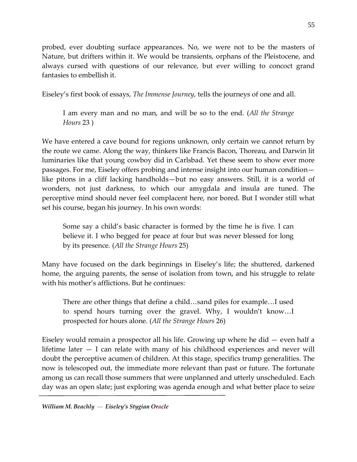probed, ever doubting surface appearances. No, we were not to be the masters of Nature, but drifters within it. We would be transients, orphans of the Pleistocene, and always cursed with questions of our relevance, but ever willing to concoct grand fantasies to embellish it.

Eiseley's first book of essays, *The Immense Journey*, tells the journeys of one and all.

I am every man and no man, and will be so to the end. (*All the Strange Hours* 23 )

We have entered a cave bound for regions unknown, only certain we cannot return by the route we came. Along the way, thinkers like Francis Bacon, Thoreau, and Darwin lit luminaries like that young cowboy did in Carlsbad. Yet these seem to show ever more passages. For me, Eiseley offers probing and intense insight into our human condition like pitons in a cliff lacking handholds—but no easy answers. Still, it is a world of wonders, not just darkness, to which our amygdala and insula are tuned. The perceptive mind should never feel complacent here, nor bored. But I wonder still what set his course, began his journey. In his own words:

Some say a child's basic character is formed by the time he is five. I can believe it. I who begged for peace at four but was never blessed for long by its presence*.* (*All the Strange Hours* 25)

Many have focused on the dark beginnings in Eiseley's life; the shuttered, darkened home, the arguing parents, the sense of isolation from town, and his struggle to relate with his mother's afflictions. But he continues:

There are other things that define a child…sand piles for example…I used to spend hours turning over the gravel. Why, I wouldn't know…I prospected for hours alone. (*All the Strange Hours* 26)

Eiseley would remain a prospector all his life. Growing up where he did — even half a lifetime later — I can relate with many of his childhood experiences and never will doubt the perceptive acumen of children. At this stage, specifics trump generalities. The now is telescoped out, the immediate more relevant than past or future. The fortunate among us can recall those summers that were unplanned and utterly unscheduled. Each day was an open slate; just exploring was agenda enough and what better place to seize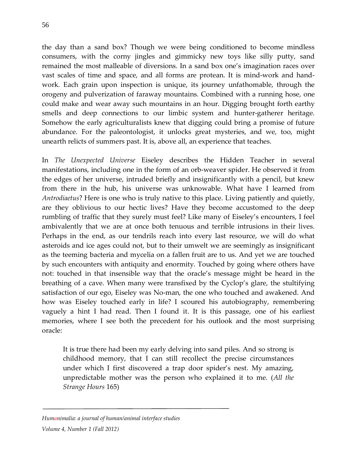the day than a sand box? Though we were being conditioned to become mindless consumers, with the corny jingles and gimmicky new toys like silly putty, sand remained the most malleable of diversions. In a sand box one's imagination races over vast scales of time and space, and all forms are protean. It is mind-work and handwork. Each grain upon inspection is unique, its journey unfathomable, through the orogeny and pulverization of faraway mountains. Combined with a running hose, one could make and wear away such mountains in an hour. Digging brought forth earthy smells and deep connections to our limbic system and hunter-gatherer heritage. Somehow the early agriculturalists knew that digging could bring a promise of future abundance. For the paleontologist, it unlocks great mysteries, and we, too, might unearth relicts of summers past. It is, above all, an experience that teaches.

In *The Unexpected Universe* Eiseley describes the Hidden Teacher in several manifestations, including one in the form of an orb-weaver spider. He observed it from the edges of her universe, intruded briefly and insignificantly with a pencil, but knew from there in the hub, his universe was unknowable. What have I learned from *Antrodiaetus*? Here is one who is truly native to this place. Living patiently and quietly, are they oblivious to our hectic lives? Have they become accustomed to the deep rumbling of traffic that they surely must feel? Like many of Eiseley's encounters, I feel ambivalently that we are at once both tenuous and terrible intrusions in their lives. Perhaps in the end, as our tendrils reach into every last resource, we will do what asteroids and ice ages could not, but to their umwelt we are seemingly as insignificant as the teeming bacteria and mycelia on a fallen fruit are to us. And yet we are touched by such encounters with antiquity and enormity. Touched by going where others have not: touched in that insensible way that the oracle's message might be heard in the breathing of a cave. When many were transfixed by the Cyclop's glare, the stultifying satisfaction of our ego, Eiseley was No-man, the one who touched and awakened. And how was Eiseley touched early in life? I scoured his autobiography, remembering vaguely a hint I had read. Then I found it. It is this passage, one of his earliest memories, where I see both the precedent for his outlook and the most surprising oracle:

It is true there had been my early delving into sand piles. And so strong is childhood memory, that I can still recollect the precise circumstances under which I first discovered a trap door spider's nest. My amazing, unpredictable mother was the person who explained it to me. (*All the Strange Hours* 165)

*Humanimalia: a journal of human/animal interface studies*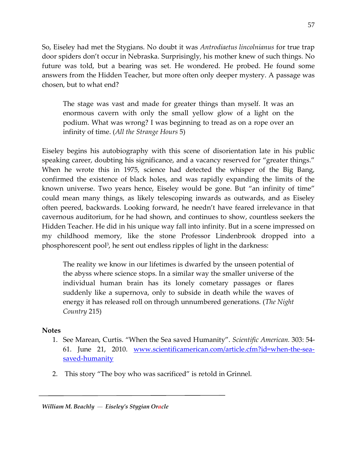So, Eiseley had met the Stygians. No doubt it was *Antrodiaetus lincolnianus* for true trap door spiders don't occur in Nebraska. Surprisingly, his mother knew of such things. No future was told, but a bearing was set. He wondered. He probed. He found some answers from the Hidden Teacher, but more often only deeper mystery. A passage was chosen, but to what end?

The stage was vast and made for greater things than myself. It was an enormous cavern with only the small yellow glow of a light on the podium. What was wrong? I was beginning to tread as on a rope over an infinity of time. (*All the Strange Hours* 5)

Eiseley begins his autobiography with this scene of disorientation late in his public speaking career, doubting his significance, and a vacancy reserved for "greater things." When he wrote this in 1975, science had detected the whisper of the Big Bang, confirmed the existence of black holes, and was rapidly expanding the limits of the known universe. Two years hence, Eiseley would be gone. But "an infinity of time" could mean many things, as likely telescoping inwards as outwards, and as Eiseley often peered, backwards. Looking forward, he needn't have feared irrelevance in that cavernous auditorium, for he had shown, and continues to show, countless seekers the Hidden Teacher. He did in his unique way fall into infinity. But in a scene impressed on my childhood memory, like the stone Professor Lindenbrook dropped into a phosphorescent pool<sup>3</sup>, he sent out endless ripples of light in the darkness:

The reality we know in our lifetimes is dwarfed by the unseen potential of the abyss where science stops. In a similar way the smaller universe of the individual human brain has its lonely cometary passages or flares suddenly like a supernova, only to subside in death while the waves of energy it has released roll on through unnumbered generations. (*The Night Country* 215)

## **Notes**

- 1. See Marean, Curtis. "When the Sea saved Humanity". *Scientific American.* 303: 54- 61. June 21, 2010. [www.scientificamerican.com/article.cfm?id=when-the-sea](http://www.scientificamerican.com/article.cfm?id=when-the-sea-saved-humanity)[saved-humanity](http://www.scientificamerican.com/article.cfm?id=when-the-sea-saved-humanity)
- 2. This story "The boy who was sacrificed" is retold in Grinnel.